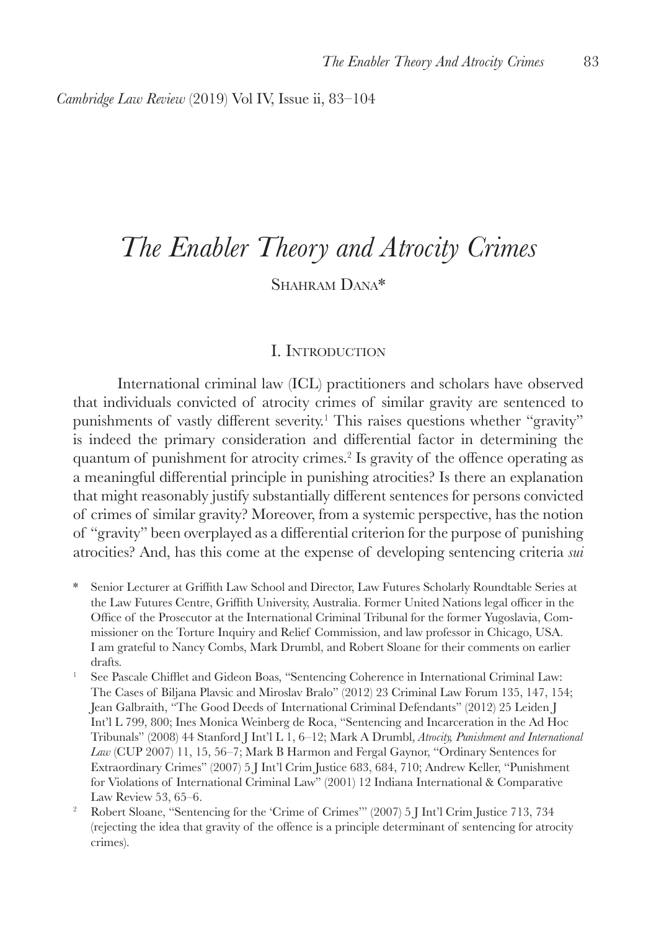*Cambridge Law Review* (2019) Vol IV, Issue ii, 83–104

# *The Enabler Theory and Atrocity Crimes*

# Shahram Dana\*

#### I. Introduction

International criminal law (ICL) practitioners and scholars have observed that individuals convicted of atrocity crimes of similar gravity are sentenced to punishments of vastly different severity.<sup>1</sup> This raises questions whether "gravity" is indeed the primary consideration and differential factor in determining the quantum of punishment for atrocity crimes.<sup>2</sup> Is gravity of the offence operating as a meaningful differential principle in punishing atrocities? Is there an explanation that might reasonably justify substantially different sentences for persons convicted of crimes of similar gravity? Moreover, from a systemic perspective, has the notion of "gravity" been overplayed as a differential criterion for the purpose of punishing atrocities? And, has this come at the expense of developing sentencing criteria *sui* 

- \* Senior Lecturer at Griffith Law School and Director, Law Futures Scholarly Roundtable Series at the Law Futures Centre, Griffith University, Australia. Former United Nations legal officer in the Office of the Prosecutor at the International Criminal Tribunal for the former Yugoslavia, Commissioner on the Torture Inquiry and Relief Commission, and law professor in Chicago, USA. I am grateful to Nancy Combs, Mark Drumbl, and Robert Sloane for their comments on earlier drafts.
- <sup>1</sup> See Pascale Chifflet and Gideon Boas, "Sentencing Coherence in International Criminal Law: The Cases of Biljana Plavsic and Miroslav Bralo" (2012) 23 Criminal Law Forum 135, 147, 154; Jean Galbraith, "The Good Deeds of International Criminal Defendants" (2012) 25 Leiden J Int'l L 799, 800; Ines Monica Weinberg de Roca, "Sentencing and Incarceration in the Ad Hoc Tribunals" (2008) 44 Stanford J Int'l L 1, 6–12; Mark A Drumbl, *Atrocity, Punishment and International Law* (CUP 2007) 11, 15, 56–7; Mark B Harmon and Fergal Gaynor, "Ordinary Sentences for Extraordinary Crimes" (2007) 5 J Int'l Crim Justice 683, 684, 710; Andrew Keller, "Punishment for Violations of International Criminal Law" (2001) 12 Indiana International & Comparative Law Review 53, 65–6.
- <sup>2</sup> Robert Sloane, "Sentencing for the 'Crime of Crimes'" (2007) 5 J Int'l Crim Justice 713, 734 (rejecting the idea that gravity of the offence is a principle determinant of sentencing for atrocity crimes).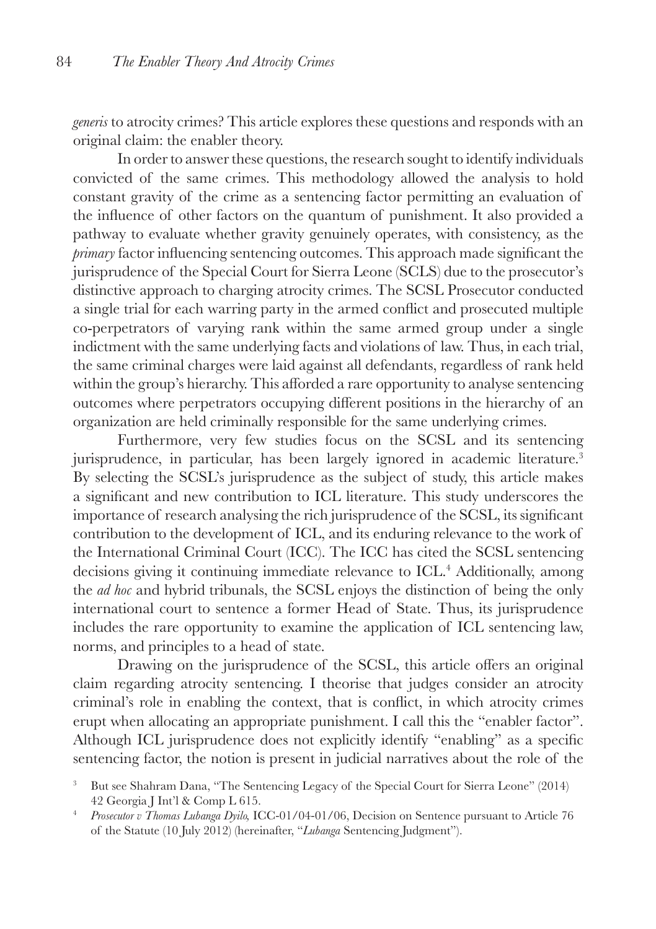*generis* to atrocity crimes? This article explores these questions and responds with an original claim: the enabler theory.

In order to answer these questions, the research sought to identify individuals convicted of the same crimes. This methodology allowed the analysis to hold constant gravity of the crime as a sentencing factor permitting an evaluation of the influence of other factors on the quantum of punishment. It also provided a pathway to evaluate whether gravity genuinely operates, with consistency, as the *primary* factor influencing sentencing outcomes. This approach made significant the jurisprudence of the Special Court for Sierra Leone (SCLS) due to the prosecutor's distinctive approach to charging atrocity crimes. The SCSL Prosecutor conducted a single trial for each warring party in the armed conflict and prosecuted multiple co-perpetrators of varying rank within the same armed group under a single indictment with the same underlying facts and violations of law. Thus, in each trial, the same criminal charges were laid against all defendants, regardless of rank held within the group's hierarchy. This afforded a rare opportunity to analyse sentencing outcomes where perpetrators occupying different positions in the hierarchy of an organization are held criminally responsible for the same underlying crimes.

Furthermore, very few studies focus on the SCSL and its sentencing jurisprudence, in particular, has been largely ignored in academic literature.<sup>3</sup> By selecting the SCSL's jurisprudence as the subject of study, this article makes a significant and new contribution to ICL literature. This study underscores the importance of research analysing the rich jurisprudence of the SCSL, its significant contribution to the development of ICL, and its enduring relevance to the work of the International Criminal Court (ICC). The ICC has cited the SCSL sentencing decisions giving it continuing immediate relevance to ICL.<sup>4</sup> Additionally, among the *ad hoc* and hybrid tribunals, the SCSL enjoys the distinction of being the only international court to sentence a former Head of State. Thus, its jurisprudence includes the rare opportunity to examine the application of ICL sentencing law, norms, and principles to a head of state.

Drawing on the jurisprudence of the SCSL, this article offers an original claim regarding atrocity sentencing. I theorise that judges consider an atrocity criminal's role in enabling the context, that is conflict, in which atrocity crimes erupt when allocating an appropriate punishment. I call this the "enabler factor". Although ICL jurisprudence does not explicitly identify "enabling" as a specific sentencing factor, the notion is present in judicial narratives about the role of the

<sup>3</sup> But see Shahram Dana, "The Sentencing Legacy of the Special Court for Sierra Leone" (2014) 42 Georgia J Int'l & Comp L 615.

<sup>4</sup> *Prosecutor v Thomas Lubanga Dyilo,* ICC-01/04-01/06, Decision on Sentence pursuant to Article 76 of the Statute (10 July 2012) (hereinafter, "*Lubanga* Sentencing Judgment").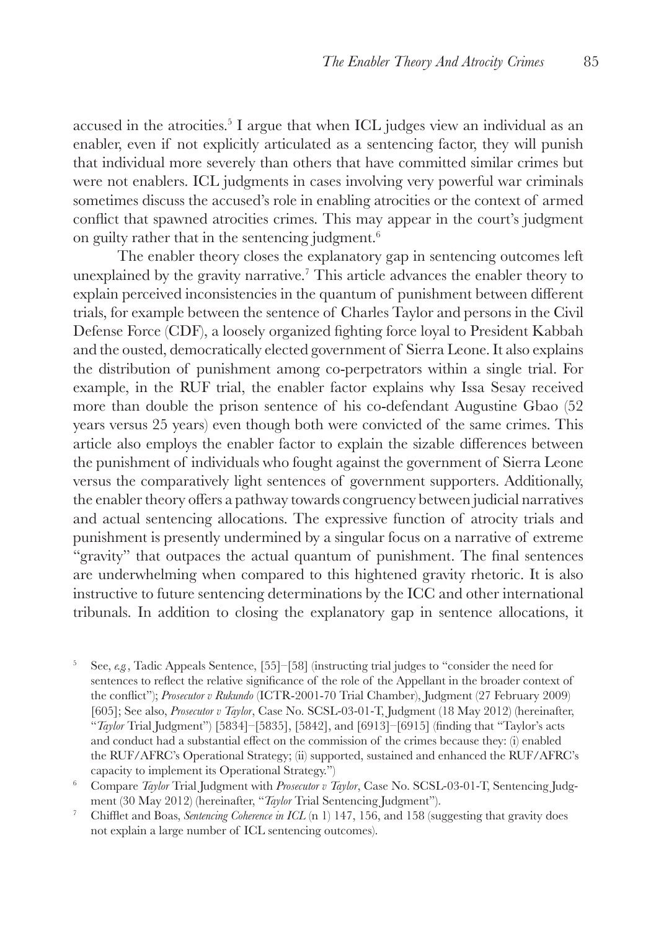accused in the atrocities.5 I argue that when ICL judges view an individual as an enabler, even if not explicitly articulated as a sentencing factor, they will punish that individual more severely than others that have committed similar crimes but were not enablers. ICL judgments in cases involving very powerful war criminals sometimes discuss the accused's role in enabling atrocities or the context of armed conflict that spawned atrocities crimes. This may appear in the court's judgment on guilty rather that in the sentencing judgment.6

The enabler theory closes the explanatory gap in sentencing outcomes left unexplained by the gravity narrative.7 This article advances the enabler theory to explain perceived inconsistencies in the quantum of punishment between different trials, for example between the sentence of Charles Taylor and persons in the Civil Defense Force (CDF), a loosely organized fighting force loyal to President Kabbah and the ousted, democratically elected government of Sierra Leone. It also explains the distribution of punishment among co-perpetrators within a single trial. For example, in the RUF trial, the enabler factor explains why Issa Sesay received more than double the prison sentence of his co-defendant Augustine Gbao (52 years versus 25 years) even though both were convicted of the same crimes. This article also employs the enabler factor to explain the sizable differences between the punishment of individuals who fought against the government of Sierra Leone versus the comparatively light sentences of government supporters. Additionally, the enabler theory offers a pathway towards congruency between judicial narratives and actual sentencing allocations. The expressive function of atrocity trials and punishment is presently undermined by a singular focus on a narrative of extreme "gravity" that outpaces the actual quantum of punishment. The final sentences are underwhelming when compared to this hightened gravity rhetoric. It is also instructive to future sentencing determinations by the ICC and other international tribunals. In addition to closing the explanatory gap in sentence allocations, it

<sup>5</sup> See, *e.g.*, Tadic Appeals Sentence, [55]–[58] (instructing trial judges to "consider the need for sentences to reflect the relative significance of the role of the Appellant in the broader context of the conflict"); *Prosecutor v Rukundo* (ICTR-2001-70 Trial Chamber), Judgment (27 February 2009) [605]; See also, *Prosecutor v Taylor*, Case No. SCSL-03-01-T, Judgment (18 May 2012) (hereinafter, "*Taylor* Trial Judgment") [5834]–[5835], [5842], and [6913]–[6915] (finding that "Taylor's acts and conduct had a substantial effect on the commission of the crimes because they: (i) enabled the RUF/AFRC's Operational Strategy; (ii) supported, sustained and enhanced the RUF/AFRC's capacity to implement its Operational Strategy.")

<sup>6</sup> Compare *Taylor* Trial Judgment with *Prosecutor v Taylor*, Case No. SCSL-03-01-T, Sentencing Judgment (30 May 2012) (hereinafter, "*Taylor* Trial Sentencing Judgment").

<sup>7</sup> Chifflet and Boas, *Sentencing Coherence in ICL* (n 1) 147, 156, and 158 (suggesting that gravity does not explain a large number of ICL sentencing outcomes).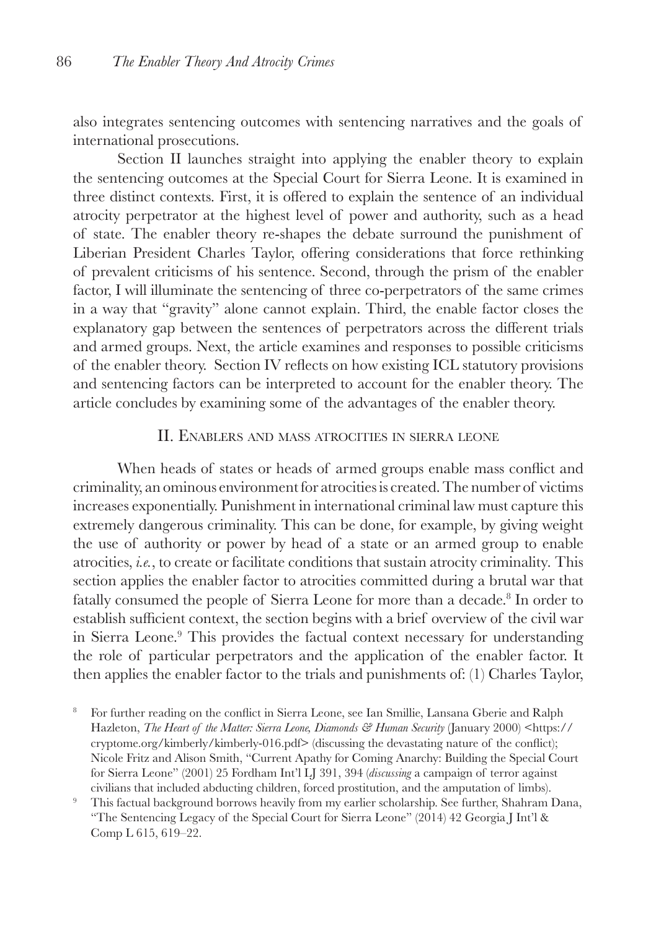also integrates sentencing outcomes with sentencing narratives and the goals of international prosecutions.

Section II launches straight into applying the enabler theory to explain the sentencing outcomes at the Special Court for Sierra Leone. It is examined in three distinct contexts. First, it is offered to explain the sentence of an individual atrocity perpetrator at the highest level of power and authority, such as a head of state. The enabler theory re-shapes the debate surround the punishment of Liberian President Charles Taylor, offering considerations that force rethinking of prevalent criticisms of his sentence. Second, through the prism of the enabler factor, I will illuminate the sentencing of three co-perpetrators of the same crimes in a way that "gravity" alone cannot explain. Third, the enable factor closes the explanatory gap between the sentences of perpetrators across the different trials and armed groups. Next, the article examines and responses to possible criticisms of the enabler theory. Section IV reflects on how existing ICL statutory provisions and sentencing factors can be interpreted to account for the enabler theory. The article concludes by examining some of the advantages of the enabler theory.

#### II. Enablers and mass atrocities in sierra leone

When heads of states or heads of armed groups enable mass conflict and criminality, an ominous environment for atrocities is created. The number of victims increases exponentially. Punishment in international criminal law must capture this extremely dangerous criminality. This can be done, for example, by giving weight the use of authority or power by head of a state or an armed group to enable atrocities, *i.e.*, to create or facilitate conditions that sustain atrocity criminality*.* This section applies the enabler factor to atrocities committed during a brutal war that fatally consumed the people of Sierra Leone for more than a decade.<sup>8</sup> In order to establish sufficient context, the section begins with a brief overview of the civil war in Sierra Leone.<sup>9</sup> This provides the factual context necessary for understanding the role of particular perpetrators and the application of the enabler factor. It then applies the enabler factor to the trials and punishments of: (1) Charles Taylor,

<sup>8</sup> For further reading on the conflict in Sierra Leone, see Ian Smillie, Lansana Gberie and Ralph Hazleton, *The Heart of the Matter: Sierra Leone, Diamonds & Human Security* (January 2000) <https:// cryptome.org/kimberly/kimberly-016.pdf> (discussing the devastating nature of the conflict); Nicole Fritz and Alison Smith, "Current Apathy for Coming Anarchy: Building the Special Court for Sierra Leone" (2001) 25 Fordham Int'l LJ 391, 394 (*discussing* a campaign of terror against civilians that included abducting children, forced prostitution, and the amputation of limbs).

<sup>9</sup> This factual background borrows heavily from my earlier scholarship. See further, Shahram Dana, "The Sentencing Legacy of the Special Court for Sierra Leone" (2014) 42 Georgia J Int'l & Comp L 615, 619–22.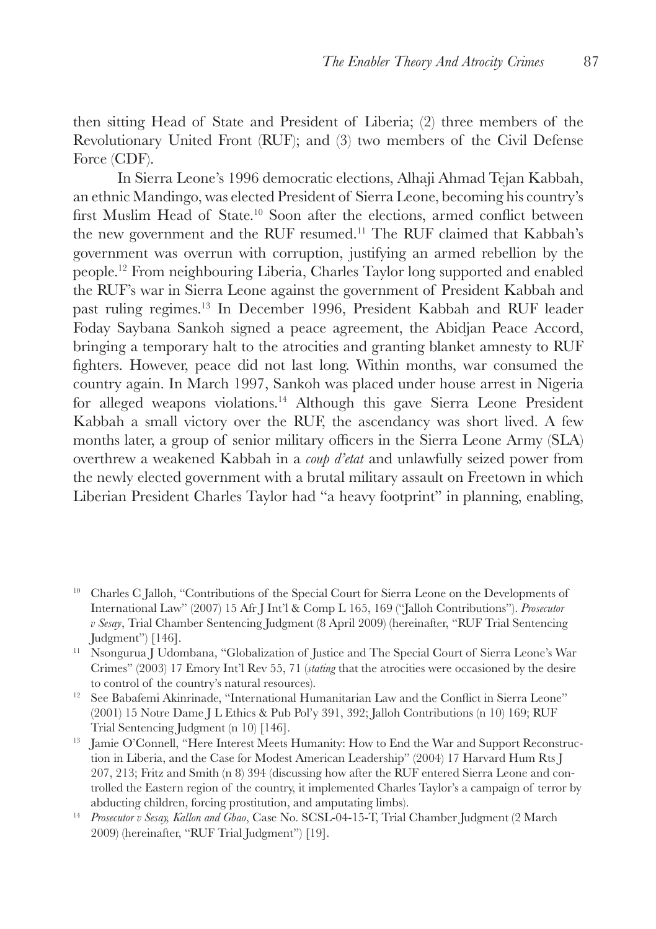then sitting Head of State and President of Liberia; (2) three members of the Revolutionary United Front (RUF); and (3) two members of the Civil Defense Force (CDF).

In Sierra Leone's 1996 democratic elections, Alhaji Ahmad Tejan Kabbah, an ethnic Mandingo, was elected President of Sierra Leone, becoming his country's first Muslim Head of State.<sup>10</sup> Soon after the elections, armed conflict between the new government and the RUF resumed.11 The RUF claimed that Kabbah's government was overrun with corruption, justifying an armed rebellion by the people.12 From neighbouring Liberia, Charles Taylor long supported and enabled the RUF's war in Sierra Leone against the government of President Kabbah and past ruling regimes.13 In December 1996, President Kabbah and RUF leader Foday Saybana Sankoh signed a peace agreement, the Abidjan Peace Accord, bringing a temporary halt to the atrocities and granting blanket amnesty to RUF fighters. However, peace did not last long. Within months, war consumed the country again. In March 1997, Sankoh was placed under house arrest in Nigeria for alleged weapons violations.<sup>14</sup> Although this gave Sierra Leone President Kabbah a small victory over the RUF, the ascendancy was short lived. A few months later, a group of senior military officers in the Sierra Leone Army (SLA) overthrew a weakened Kabbah in a *coup d'etat* and unlawfully seized power from the newly elected government with a brutal military assault on Freetown in which Liberian President Charles Taylor had "a heavy footprint" in planning, enabling,

<sup>&</sup>lt;sup>10</sup> Charles C Jalloh, "Contributions of the Special Court for Sierra Leone on the Developments of International Law" (2007) 15 Afr J Int'l & Comp L 165, 169 ("Jalloh Contributions"). *Prosecutor v Sesay*, Trial Chamber Sentencing Judgment (8 April 2009) (hereinafter, "RUF Trial Sentencing Judgment") [146].

<sup>11</sup> Nsongurua J Udombana, "Globalization of Justice and The Special Court of Sierra Leone's War Crimes" (2003) 17 Emory Int'l Rev 55, 71 (*stating* that the atrocities were occasioned by the desire to control of the country's natural resources).

<sup>&</sup>lt;sup>12</sup> See Babafemi Akinrinade, "International Humanitarian Law and the Conflict in Sierra Leone" (2001) 15 Notre Dame J L Ethics & Pub Pol'y 391, 392; Jalloh Contributions (n 10) 169; RUF Trial Sentencing Judgment (n 10) [146].

<sup>&</sup>lt;sup>13</sup> Iamie O'Connell, "Here Interest Meets Humanity: How to End the War and Support Reconstruction in Liberia, and the Case for Modest American Leadership" (2004) 17 Harvard Hum Rts J 207, 213; Fritz and Smith (n 8) 394 (discussing how after the RUF entered Sierra Leone and controlled the Eastern region of the country, it implemented Charles Taylor's a campaign of terror by abducting children, forcing prostitution, and amputating limbs).

<sup>14</sup> *Prosecutor v Sesay, Kallon and Gbao*, Case No. SCSL-04-15-T, Trial Chamber Judgment (2 March 2009) (hereinafter, "RUF Trial Judgment") [19].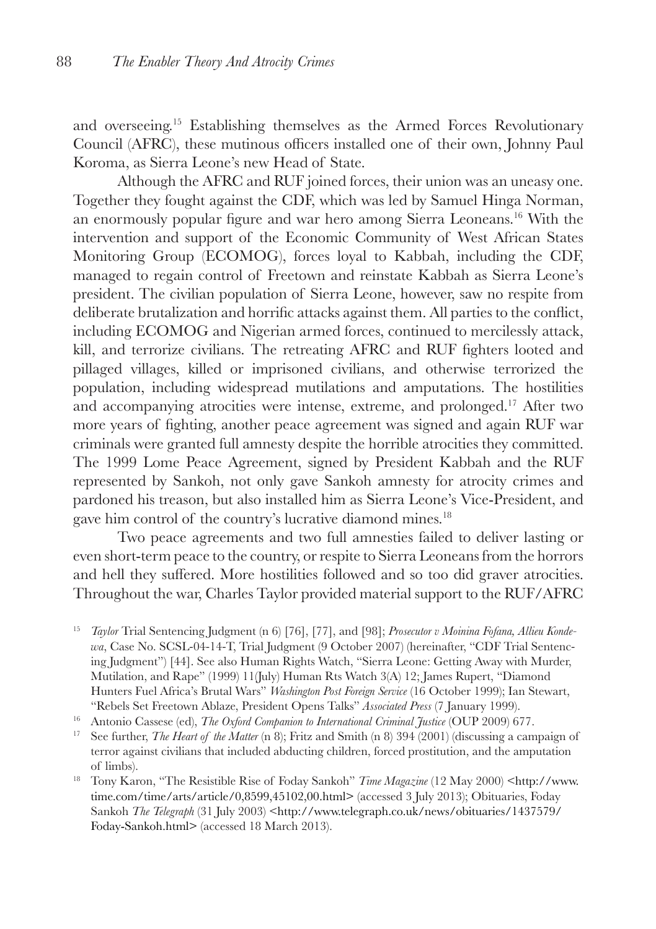and overseeing.15 Establishing themselves as the Armed Forces Revolutionary Council (AFRC), these mutinous officers installed one of their own, Johnny Paul Koroma, as Sierra Leone's new Head of State.

Although the AFRC and RUF joined forces, their union was an uneasy one. Together they fought against the CDF, which was led by Samuel Hinga Norman, an enormously popular figure and war hero among Sierra Leoneans.16 With the intervention and support of the Economic Community of West African States Monitoring Group (ECOMOG), forces loyal to Kabbah, including the CDF, managed to regain control of Freetown and reinstate Kabbah as Sierra Leone's president. The civilian population of Sierra Leone, however, saw no respite from deliberate brutalization and horrific attacks against them. All parties to the conflict, including ECOMOG and Nigerian armed forces, continued to mercilessly attack, kill, and terrorize civilians. The retreating AFRC and RUF fighters looted and pillaged villages, killed or imprisoned civilians, and otherwise terrorized the population, including widespread mutilations and amputations. The hostilities and accompanying atrocities were intense, extreme, and prolonged.17 After two more years of fighting, another peace agreement was signed and again RUF war criminals were granted full amnesty despite the horrible atrocities they committed. The 1999 Lome Peace Agreement, signed by President Kabbah and the RUF represented by Sankoh, not only gave Sankoh amnesty for atrocity crimes and pardoned his treason, but also installed him as Sierra Leone's Vice-President, and gave him control of the country's lucrative diamond mines.<sup>18</sup>

Two peace agreements and two full amnesties failed to deliver lasting or even short-term peace to the country, or respite to Sierra Leoneans from the horrors and hell they suffered. More hostilities followed and so too did graver atrocities. Throughout the war, Charles Taylor provided material support to the RUF/AFRC

- <sup>16</sup> Antonio Cassese (ed), *The Oxford Companion to International Criminal Justice* (OUP 2009) 677.
- <sup>17</sup> See further, *The Heart of the Matter* (n 8); Fritz and Smith (n 8) 394 (2001) (discussing a campaign of terror against civilians that included abducting children, forced prostitution, and the amputation of limbs).
- <sup>18</sup> Tony Karon, "The Resistible Rise of Foday Sankoh" *Time Magazine* (12 May 2000) <http://www. time.com/time/arts/article/0,8599,45102,00.html> (accessed 3 July 2013); Obituaries, Foday Sankoh *The Telegraph* (31 July 2003) <http://www.telegraph.co.uk/news/obituaries/1437579/ Foday-Sankoh.html> (accessed 18 March 2013).

<sup>15</sup> *Taylor* Trial Sentencing Judgment (n 6) [76], [77], and [98]; *Prosecutor v Moinina Fofana, Allieu Kondewa*, Case No. SCSL-04-14-T, Trial Judgment (9 October 2007) (hereinafter, "CDF Trial Sentencing Judgment") [44]. See also Human Rights Watch, "Sierra Leone: Getting Away with Murder, Mutilation, and Rape" (1999) 11(July) Human Rts Watch 3(A) 12; James Rupert, "Diamond Hunters Fuel Africa's Brutal Wars" *Washington Post Foreign Service* (16 October 1999); Ian Stewart, "Rebels Set Freetown Ablaze, President Opens Talks" *Associated Press* (7 January 1999).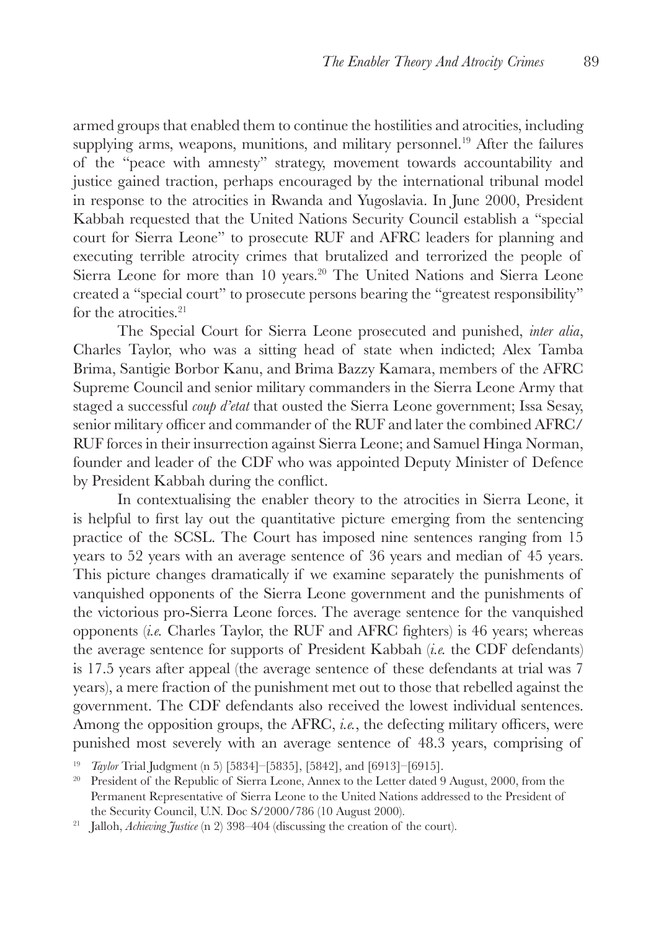armed groups that enabled them to continue the hostilities and atrocities, including supplying arms, weapons, munitions, and military personnel.<sup>19</sup> After the failures of the "peace with amnesty" strategy, movement towards accountability and justice gained traction, perhaps encouraged by the international tribunal model in response to the atrocities in Rwanda and Yugoslavia. In June 2000, President Kabbah requested that the United Nations Security Council establish a "special court for Sierra Leone" to prosecute RUF and AFRC leaders for planning and executing terrible atrocity crimes that brutalized and terrorized the people of Sierra Leone for more than 10 years.<sup>20</sup> The United Nations and Sierra Leone created a "special court" to prosecute persons bearing the "greatest responsibility" for the atrocities.<sup>21</sup>

The Special Court for Sierra Leone prosecuted and punished, *inter alia*, Charles Taylor, who was a sitting head of state when indicted; Alex Tamba Brima, Santigie Borbor Kanu, and Brima Bazzy Kamara, members of the AFRC Supreme Council and senior military commanders in the Sierra Leone Army that staged a successful *coup d'etat* that ousted the Sierra Leone government; Issa Sesay, senior military officer and commander of the RUF and later the combined AFRC/ RUF forces in their insurrection against Sierra Leone; and Samuel Hinga Norman, founder and leader of the CDF who was appointed Deputy Minister of Defence by President Kabbah during the conflict.

In contextualising the enabler theory to the atrocities in Sierra Leone, it is helpful to first lay out the quantitative picture emerging from the sentencing practice of the SCSL. The Court has imposed nine sentences ranging from 15 years to 52 years with an average sentence of 36 years and median of 45 years. This picture changes dramatically if we examine separately the punishments of vanquished opponents of the Sierra Leone government and the punishments of the victorious pro-Sierra Leone forces. The average sentence for the vanquished opponents (*i.e.* Charles Taylor, the RUF and AFRC fighters) is 46 years; whereas the average sentence for supports of President Kabbah (*i.e.* the CDF defendants) is 17.5 years after appeal (the average sentence of these defendants at trial was 7 years), a mere fraction of the punishment met out to those that rebelled against the government. The CDF defendants also received the lowest individual sentences. Among the opposition groups, the AFRC, *i.e.*, the defecting military officers, were punished most severely with an average sentence of 48.3 years, comprising of

<sup>19</sup> *Taylor* Trial Judgment (n 5) [5834]–[5835], [5842], and [6913]–[6915].

<sup>&</sup>lt;sup>20</sup> President of the Republic of Sierra Leone, Annex to the Letter dated 9 August, 2000, from the Permanent Representative of Sierra Leone to the United Nations addressed to the President of the Security Council, U.N. Doc S/2000/786 (10 August 2000).

<sup>&</sup>lt;sup>21</sup> Jalloh, *Achieving Justice* (n 2) 398-404 (discussing the creation of the court).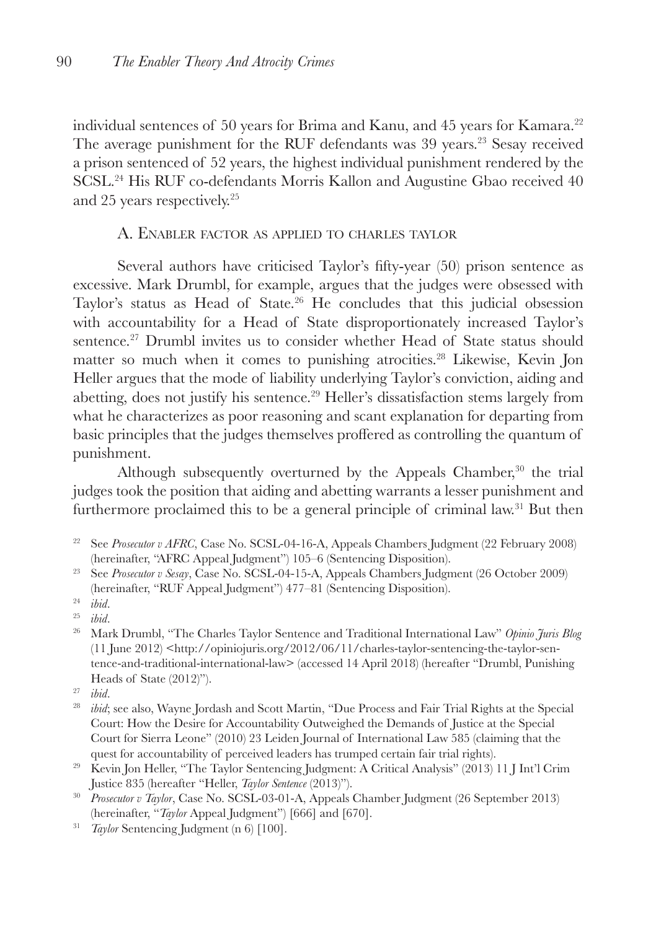individual sentences of 50 years for Brima and Kanu, and 45 years for Kamara.22 The average punishment for the RUF defendants was 39 years.<sup>23</sup> Sesay received a prison sentenced of 52 years, the highest individual punishment rendered by the SCSL.24 His RUF co-defendants Morris Kallon and Augustine Gbao received 40 and 25 years respectively.25

## A. Enabler factor as applied to charles taylor

Several authors have criticised Taylor's fifty-year (50) prison sentence as excessive. Mark Drumbl, for example, argues that the judges were obsessed with Taylor's status as Head of State.<sup>26</sup> He concludes that this judicial obsession with accountability for a Head of State disproportionately increased Taylor's sentence.<sup>27</sup> Drumbl invites us to consider whether Head of State status should matter so much when it comes to punishing atrocities.<sup>28</sup> Likewise, Kevin Jon Heller argues that the mode of liability underlying Taylor's conviction, aiding and abetting, does not justify his sentence.29 Heller's dissatisfaction stems largely from what he characterizes as poor reasoning and scant explanation for departing from basic principles that the judges themselves proffered as controlling the quantum of punishment.

Although subsequently overturned by the Appeals Chamber,<sup>30</sup> the trial judges took the position that aiding and abetting warrants a lesser punishment and furthermore proclaimed this to be a general principle of criminal law.<sup>31</sup> But then

<sup>23</sup> See *Prosecutor v Sesay*, Case No. SCSL-04-15-A, Appeals Chambers Judgment (26 October 2009) (hereinafter, "RUF Appeal Judgment") 477–81 (Sentencing Disposition).

- <sup>28</sup> *ibid*; see also, Wayne Jordash and Scott Martin, "Due Process and Fair Trial Rights at the Special Court: How the Desire for Accountability Outweighed the Demands of Justice at the Special Court for Sierra Leone" (2010) 23 Leiden Journal of International Law 585 (claiming that the quest for accountability of perceived leaders has trumped certain fair trial rights).
- <sup>29</sup> Kevin Jon Heller, "The Taylor Sentencing Judgment: A Critical Analysis" (2013) 11 J Int'l Crim Justice 835 (hereafter "Heller, *Taylor Sentence* (2013)").
- <sup>30</sup> *Prosecutor v Taylor*, Case No. SCSL-03-01-A, Appeals Chamber Judgment (26 September 2013) (hereinafter, "*Taylor* Appeal Judgment") [666] and [670].
- <sup>31</sup> *Taylor* Sentencing Judgment (n 6) [100].

<sup>&</sup>lt;sup>22</sup> See *Prosecutor v AFRC*, Case No. SCSL-04-16-A, Appeals Chambers Judgment (22 February 2008) (hereinafter, "AFRC Appeal Judgment") 105–6 (Sentencing Disposition).

<sup>24</sup> *ibid*.

<sup>25</sup> *ibid*.

<sup>26</sup> Mark Drumbl, "The Charles Taylor Sentence and Traditional International Law" *Opinio Juris Blog* (11 June 2012) <http://opiniojuris.org/2012/06/11/charles-taylor-sentencing-the-taylor-sentence-and-traditional-international-law> (accessed 14 April 2018) (hereafter "Drumbl, Punishing Heads of State (2012)").

<sup>27</sup> *ibid*.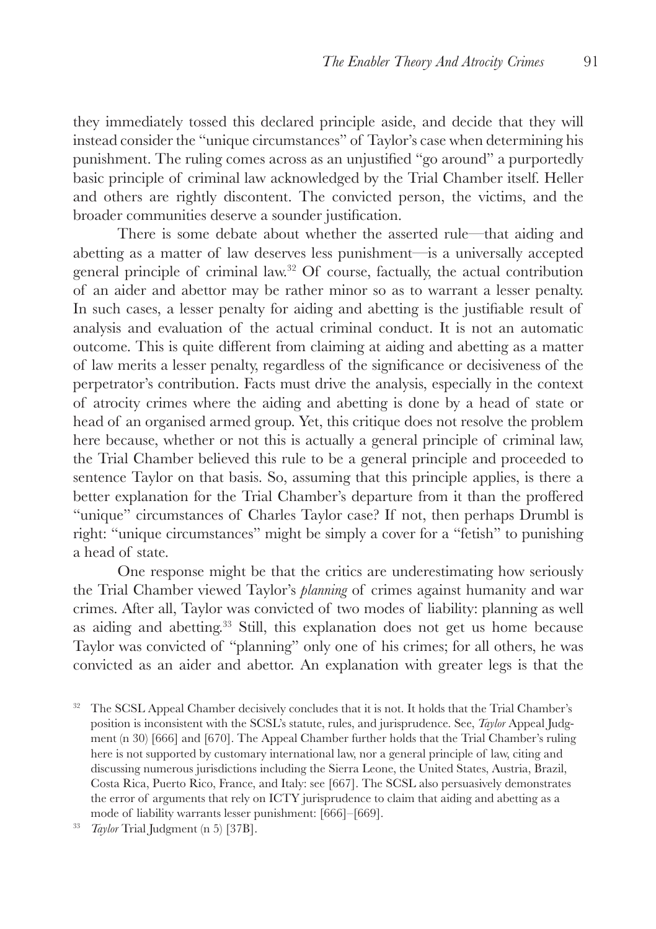they immediately tossed this declared principle aside, and decide that they will instead consider the "unique circumstances" of Taylor's case when determining his punishment. The ruling comes across as an unjustified "go around" a purportedly basic principle of criminal law acknowledged by the Trial Chamber itself. Heller and others are rightly discontent. The convicted person, the victims, and the broader communities deserve a sounder justification.

There is some debate about whether the asserted rule—that aiding and abetting as a matter of law deserves less punishment—is a universally accepted general principle of criminal law.32 Of course, factually, the actual contribution of an aider and abettor may be rather minor so as to warrant a lesser penalty. In such cases, a lesser penalty for aiding and abetting is the justifiable result of analysis and evaluation of the actual criminal conduct. It is not an automatic outcome. This is quite different from claiming at aiding and abetting as a matter of law merits a lesser penalty, regardless of the significance or decisiveness of the perpetrator's contribution. Facts must drive the analysis, especially in the context of atrocity crimes where the aiding and abetting is done by a head of state or head of an organised armed group. Yet, this critique does not resolve the problem here because, whether or not this is actually a general principle of criminal law, the Trial Chamber believed this rule to be a general principle and proceeded to sentence Taylor on that basis. So, assuming that this principle applies, is there a better explanation for the Trial Chamber's departure from it than the proffered "unique" circumstances of Charles Taylor case? If not, then perhaps Drumbl is right: "unique circumstances" might be simply a cover for a "fetish" to punishing a head of state.

One response might be that the critics are underestimating how seriously the Trial Chamber viewed Taylor's *planning* of crimes against humanity and war crimes. After all, Taylor was convicted of two modes of liability: planning as well as aiding and abetting.33 Still, this explanation does not get us home because Taylor was convicted of "planning" only one of his crimes; for all others, he was convicted as an aider and abettor. An explanation with greater legs is that the

<sup>&</sup>lt;sup>32</sup> The SCSL Appeal Chamber decisively concludes that it is not. It holds that the Trial Chamber's position is inconsistent with the SCSL's statute, rules, and jurisprudence. See, *Taylor* Appeal Judgment (n 30) [666] and [670]. The Appeal Chamber further holds that the Trial Chamber's ruling here is not supported by customary international law, nor a general principle of law, citing and discussing numerous jurisdictions including the Sierra Leone, the United States, Austria, Brazil, Costa Rica, Puerto Rico, France, and Italy: see [667]. The SCSL also persuasively demonstrates the error of arguments that rely on ICTY jurisprudence to claim that aiding and abetting as a mode of liability warrants lesser punishment: [666]–[669].

<sup>33</sup> *Taylor* Trial Judgment (n 5) [37B].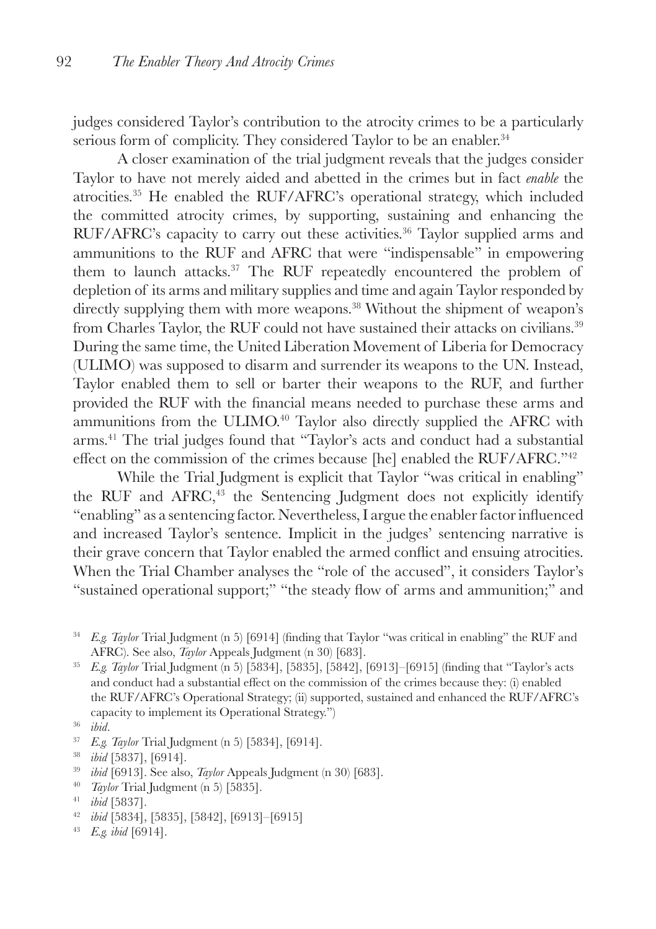judges considered Taylor's contribution to the atrocity crimes to be a particularly serious form of complicity. They considered Taylor to be an enabler.<sup>34</sup>

A closer examination of the trial judgment reveals that the judges consider Taylor to have not merely aided and abetted in the crimes but in fact *enable* the atrocities.35 He enabled the RUF/AFRC's operational strategy, which included the committed atrocity crimes, by supporting, sustaining and enhancing the RUF/AFRC's capacity to carry out these activities.<sup>36</sup> Taylor supplied arms and ammunitions to the RUF and AFRC that were "indispensable" in empowering them to launch attacks.37 The RUF repeatedly encountered the problem of depletion of its arms and military supplies and time and again Taylor responded by directly supplying them with more weapons.<sup>38</sup> Without the shipment of weapon's from Charles Taylor, the RUF could not have sustained their attacks on civilians.39 During the same time, the United Liberation Movement of Liberia for Democracy (ULIMO) was supposed to disarm and surrender its weapons to the UN. Instead, Taylor enabled them to sell or barter their weapons to the RUF, and further provided the RUF with the financial means needed to purchase these arms and ammunitions from the ULIMO.<sup>40</sup> Taylor also directly supplied the AFRC with arms.41 The trial judges found that "Taylor's acts and conduct had a substantial effect on the commission of the crimes because [he] enabled the RUF/AFRC."<sup>42</sup>

While the Trial Judgment is explicit that Taylor "was critical in enabling" the RUF and AFRC, $43$  the Sentencing Judgment does not explicitly identify "enabling" as a sentencing factor. Nevertheless, I argue the enabler factor influenced and increased Taylor's sentence. Implicit in the judges' sentencing narrative is their grave concern that Taylor enabled the armed conflict and ensuing atrocities. When the Trial Chamber analyses the "role of the accused", it considers Taylor's "sustained operational support;" "the steady flow of arms and ammunition;" and

<sup>35</sup> *E.g. Taylor* Trial Judgment (n 5) [5834], [5835], [5842], [6913]–[6915] (finding that "Taylor's acts and conduct had a substantial effect on the commission of the crimes because they: (i) enabled the RUF/AFRC's Operational Strategy; (ii) supported, sustained and enhanced the RUF/AFRC's capacity to implement its Operational Strategy.")

- <sup>39</sup> *ibid* [6913]. See also, *Taylor* Appeals Judgment (n 30) [683].
- <sup>40</sup> *Taylor* Trial Judgment (n 5) [5835].
- <sup>41</sup> *ibid* [5837].
- <sup>42</sup> *ibid* [5834], [5835], [5842], [6913]–[6915]
- <sup>43</sup> *E.g. ibid* [6914].

<sup>34</sup> *E.g. Taylor* Trial Judgment (n 5) [6914] (finding that Taylor "was critical in enabling" the RUF and AFRC). See also, *Taylor* Appeals Judgment (n 30) [683].

<sup>36</sup> *ibid*.

<sup>37</sup> *E.g. Taylor* Trial Judgment (n 5) [5834], [6914].

<sup>38</sup> *ibid* [5837], [6914].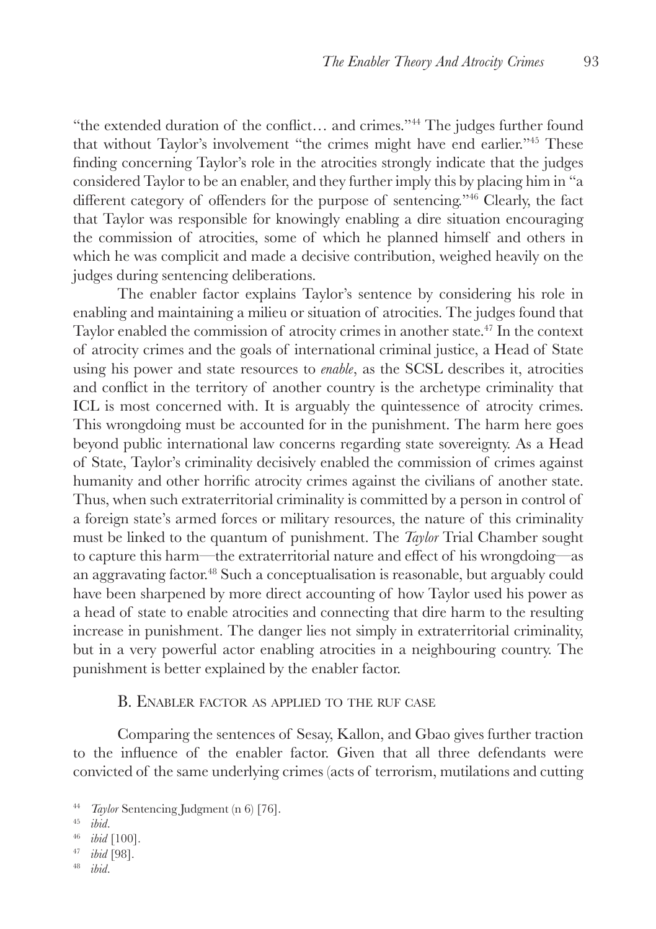"the extended duration of the conflict… and crimes."44 The judges further found that without Taylor's involvement "the crimes might have end earlier."45 These finding concerning Taylor's role in the atrocities strongly indicate that the judges considered Taylor to be an enabler, and they further imply this by placing him in "a different category of offenders for the purpose of sentencing."<sup>46</sup> Clearly, the fact that Taylor was responsible for knowingly enabling a dire situation encouraging the commission of atrocities, some of which he planned himself and others in which he was complicit and made a decisive contribution, weighed heavily on the judges during sentencing deliberations.

The enabler factor explains Taylor's sentence by considering his role in enabling and maintaining a milieu or situation of atrocities. The judges found that Taylor enabled the commission of atrocity crimes in another state.47 In the context of atrocity crimes and the goals of international criminal justice, a Head of State using his power and state resources to *enable*, as the SCSL describes it, atrocities and conflict in the territory of another country is the archetype criminality that ICL is most concerned with. It is arguably the quintessence of atrocity crimes. This wrongdoing must be accounted for in the punishment. The harm here goes beyond public international law concerns regarding state sovereignty. As a Head of State, Taylor's criminality decisively enabled the commission of crimes against humanity and other horrific atrocity crimes against the civilians of another state. Thus, when such extraterritorial criminality is committed by a person in control of a foreign state's armed forces or military resources, the nature of this criminality must be linked to the quantum of punishment. The *Taylor* Trial Chamber sought to capture this harm—the extraterritorial nature and effect of his wrongdoing—as an aggravating factor.48 Such a conceptualisation is reasonable, but arguably could have been sharpened by more direct accounting of how Taylor used his power as a head of state to enable atrocities and connecting that dire harm to the resulting increase in punishment. The danger lies not simply in extraterritorial criminality, but in a very powerful actor enabling atrocities in a neighbouring country. The punishment is better explained by the enabler factor.

#### B. ENABLER FACTOR AS APPLIED TO THE RUF CASE

Comparing the sentences of Sesay, Kallon, and Gbao gives further traction to the influence of the enabler factor. Given that all three defendants were convicted of the same underlying crimes (acts of terrorism, mutilations and cutting

- <sup>46</sup> *ibid* [100].
- <sup>47</sup> *ibid* [98].
- ibid.

<sup>&</sup>lt;sup>44</sup> *Taylor* Sentencing Judgment (n 6) [76].

ibid.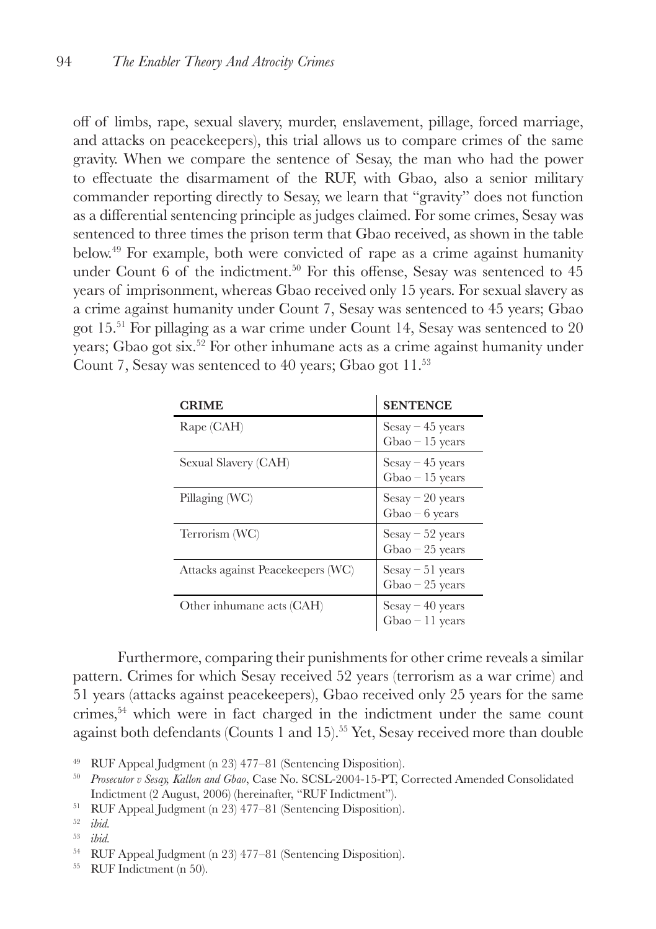off of limbs, rape, sexual slavery, murder, enslavement, pillage, forced marriage, and attacks on peacekeepers), this trial allows us to compare crimes of the same gravity. When we compare the sentence of Sesay, the man who had the power to effectuate the disarmament of the RUF, with Gbao, also a senior military commander reporting directly to Sesay, we learn that "gravity" does not function as a differential sentencing principle as judges claimed. For some crimes, Sesay was sentenced to three times the prison term that Gbao received, as shown in the table below.49 For example, both were convicted of rape as a crime against humanity under Count  $6$  of the indictment.<sup>50</sup> For this offense, Sesay was sentenced to  $45$ years of imprisonment, whereas Gbao received only 15 years. For sexual slavery as a crime against humanity under Count 7, Sesay was sentenced to 45 years; Gbao got 15.51 For pillaging as a war crime under Count 14, Sesay was sentenced to 20 years; Gbao got six.<sup>52</sup> For other inhumane acts as a crime against humanity under Count 7, Sesay was sentenced to 40 years; Gbao got 11.<sup>53</sup>

| <b>CRIME</b>                      | <b>SENTENCE</b>                                 |
|-----------------------------------|-------------------------------------------------|
| Rape (CAH)                        | $Sesay - 45$ years<br>$Gbao - 15$ years         |
| Sexual Slavery (CAH)              | $Sesay - 45 years$<br>$Gbao - 15$ years         |
| Pillaging (WC)                    | $Sesay - 20 years$<br>Gbao $-6$ years           |
| Terrorism (WC)                    | $Sesay - 52 \text{ years}$<br>$Gbao - 25$ years |
| Attacks against Peacekeepers (WC) | $Sesay - 51 years$<br>$Gbao - 25$ years         |
| Other inhumane acts (CAH)         | $Sesay - 40 years$<br>$Gbao - 11 years$         |

Furthermore, comparing their punishments for other crime reveals a similar pattern. Crimes for which Sesay received 52 years (terrorism as a war crime) and 51 years (attacks against peacekeepers), Gbao received only 25 years for the same crimes,54 which were in fact charged in the indictment under the same count against both defendants (Counts 1 and 15).<sup>55</sup> Yet, Sesay received more than double

<sup>54</sup> RUF Appeal Judgment (n 23) 477–81 (Sentencing Disposition).

<sup>55</sup> RUF Indictment (n 50).

<sup>49</sup> RUF Appeal Judgment (n 23) 477–81 (Sentencing Disposition).

<sup>50</sup> *Prosecutor v Sesay, Kallon and Gbao*, Case No. SCSL-2004-15-PT, Corrected Amended Consolidated Indictment (2 August, 2006) (hereinafter, "RUF Indictment").

<sup>51</sup> RUF Appeal Judgment (n 23) 477–81 (Sentencing Disposition).

 $\frac{52}{53}$  *ibid.* 

<sup>53</sup> *ibid.*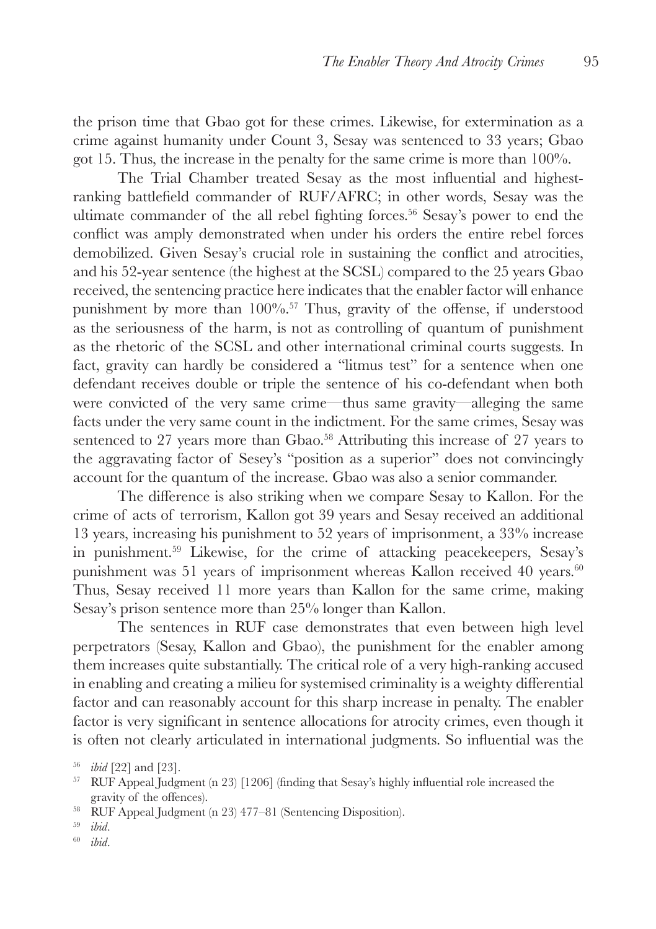the prison time that Gbao got for these crimes. Likewise, for extermination as a crime against humanity under Count 3, Sesay was sentenced to 33 years; Gbao got 15. Thus, the increase in the penalty for the same crime is more than 100%.

The Trial Chamber treated Sesay as the most influential and highestranking battlefield commander of RUF/AFRC; in other words, Sesay was the ultimate commander of the all rebel fighting forces.<sup>56</sup> Sesay's power to end the conflict was amply demonstrated when under his orders the entire rebel forces demobilized. Given Sesay's crucial role in sustaining the conflict and atrocities, and his 52-year sentence (the highest at the SCSL) compared to the 25 years Gbao received, the sentencing practice here indicates that the enabler factor will enhance punishment by more than 100%.57 Thus, gravity of the offense, if understood as the seriousness of the harm, is not as controlling of quantum of punishment as the rhetoric of the SCSL and other international criminal courts suggests. In fact, gravity can hardly be considered a "litmus test" for a sentence when one defendant receives double or triple the sentence of his co-defendant when both were convicted of the very same crime—thus same gravity—alleging the same facts under the very same count in the indictment. For the same crimes, Sesay was sentenced to 27 years more than Gbao.<sup>58</sup> Attributing this increase of 27 years to the aggravating factor of Sesey's "position as a superior" does not convincingly account for the quantum of the increase. Gbao was also a senior commander.

The difference is also striking when we compare Sesay to Kallon. For the crime of acts of terrorism, Kallon got 39 years and Sesay received an additional 13 years, increasing his punishment to 52 years of imprisonment, a 33% increase in punishment.59 Likewise, for the crime of attacking peacekeepers, Sesay's punishment was 51 years of imprisonment whereas Kallon received 40 years.<sup>60</sup> Thus, Sesay received 11 more years than Kallon for the same crime, making Sesay's prison sentence more than 25% longer than Kallon.

The sentences in RUF case demonstrates that even between high level perpetrators (Sesay, Kallon and Gbao), the punishment for the enabler among them increases quite substantially. The critical role of a very high-ranking accused in enabling and creating a milieu for systemised criminality is a weighty differential factor and can reasonably account for this sharp increase in penalty. The enabler factor is very significant in sentence allocations for atrocity crimes, even though it is often not clearly articulated in international judgments. So influential was the

<sup>56</sup> *ibid* [22] and [23].

<sup>&</sup>lt;sup>57</sup> RUF Appeal Judgment (n 23) [1206] (finding that Sesay's highly influential role increased the gravity of the offences).

<sup>58</sup> RUF Appeal Judgment (n 23) 477–81 (Sentencing Disposition).

<sup>59</sup> *ibid*.

<sup>60</sup> *ibid*.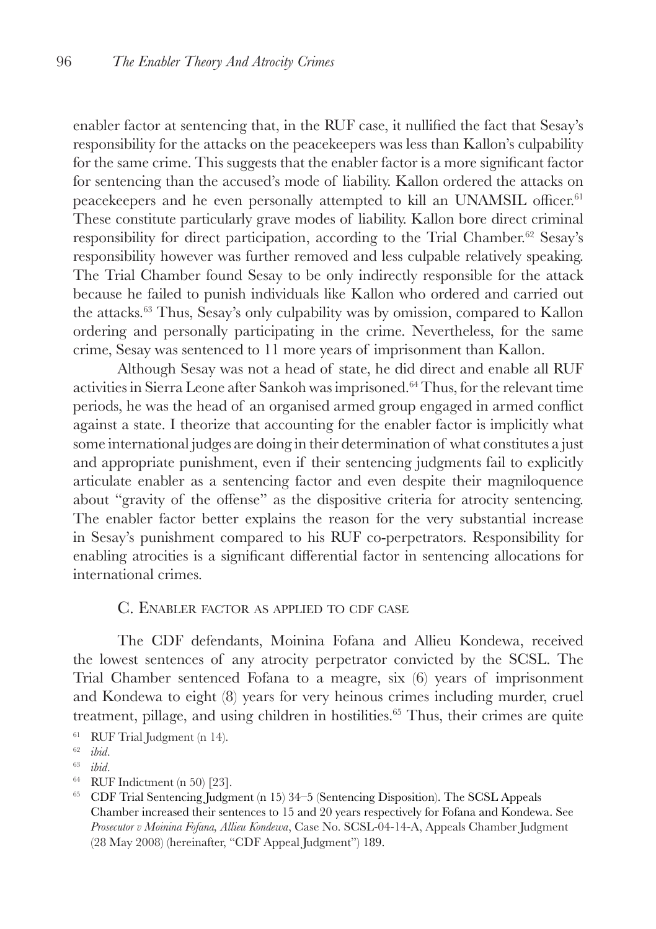enabler factor at sentencing that, in the RUF case, it nullified the fact that Sesay's responsibility for the attacks on the peacekeepers was less than Kallon's culpability for the same crime. This suggests that the enabler factor is a more significant factor for sentencing than the accused's mode of liability. Kallon ordered the attacks on peacekeepers and he even personally attempted to kill an UNAMSIL officer.<sup>61</sup> These constitute particularly grave modes of liability. Kallon bore direct criminal responsibility for direct participation, according to the Trial Chamber.<sup>62</sup> Sesay's responsibility however was further removed and less culpable relatively speaking. The Trial Chamber found Sesay to be only indirectly responsible for the attack because he failed to punish individuals like Kallon who ordered and carried out the attacks.63 Thus, Sesay's only culpability was by omission, compared to Kallon ordering and personally participating in the crime. Nevertheless, for the same crime, Sesay was sentenced to 11 more years of imprisonment than Kallon.

Although Sesay was not a head of state, he did direct and enable all RUF activities in Sierra Leone after Sankoh was imprisoned.64 Thus, for the relevant time periods, he was the head of an organised armed group engaged in armed conflict against a state. I theorize that accounting for the enabler factor is implicitly what some international judges are doing in their determination of what constitutes a just and appropriate punishment, even if their sentencing judgments fail to explicitly articulate enabler as a sentencing factor and even despite their magniloquence about "gravity of the offense" as the dispositive criteria for atrocity sentencing. The enabler factor better explains the reason for the very substantial increase in Sesay's punishment compared to his RUF co-perpetrators. Responsibility for enabling atrocities is a significant differential factor in sentencing allocations for international crimes.

## C. Enabler factor as applied to cdf case

The CDF defendants, Moinina Fofana and Allieu Kondewa, received the lowest sentences of any atrocity perpetrator convicted by the SCSL. The Trial Chamber sentenced Fofana to a meagre, six (6) years of imprisonment and Kondewa to eight (8) years for very heinous crimes including murder, cruel treatment, pillage, and using children in hostilities.<sup>65</sup> Thus, their crimes are quite

<sup>61</sup> RUF Trial Judgment (n 14).

<sup>64</sup> RUF Indictment (n 50) [23].

<sup>62</sup> *ibid*.

<sup>63</sup> *ibid*.

<sup>65</sup> CDF Trial Sentencing Judgment (n 15) 34–5 (Sentencing Disposition). The SCSL Appeals Chamber increased their sentences to 15 and 20 years respectively for Fofana and Kondewa. See *Prosecutor v Moinina Fofana, Allieu Kondewa*, Case No. SCSL-04-14-A, Appeals Chamber Judgment (28 May 2008) (hereinafter, "CDF Appeal Judgment") 189.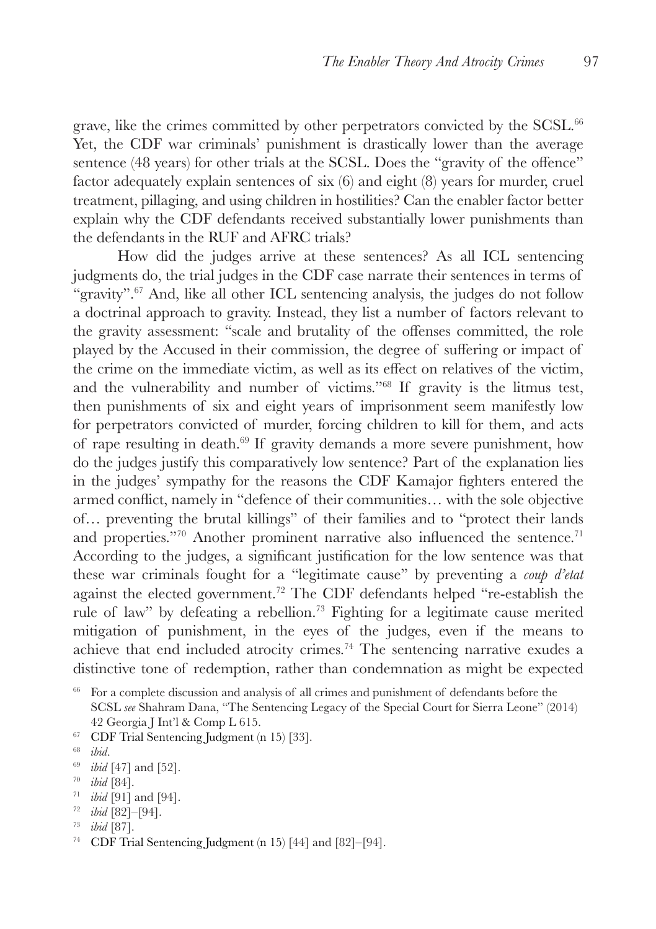grave, like the crimes committed by other perpetrators convicted by the SCSL.<sup>66</sup> Yet, the CDF war criminals' punishment is drastically lower than the average sentence (48 years) for other trials at the SCSL. Does the "gravity of the offence" factor adequately explain sentences of six (6) and eight (8) years for murder, cruel treatment, pillaging, and using children in hostilities? Can the enabler factor better explain why the CDF defendants received substantially lower punishments than the defendants in the RUF and AFRC trials?

How did the judges arrive at these sentences? As all ICL sentencing judgments do, the trial judges in the CDF case narrate their sentences in terms of "gravity".<sup>67</sup> And, like all other ICL sentencing analysis, the judges do not follow a doctrinal approach to gravity. Instead, they list a number of factors relevant to the gravity assessment: "scale and brutality of the offenses committed, the role played by the Accused in their commission, the degree of suffering or impact of the crime on the immediate victim, as well as its effect on relatives of the victim, and the vulnerability and number of victims."68 If gravity is the litmus test, then punishments of six and eight years of imprisonment seem manifestly low for perpetrators convicted of murder, forcing children to kill for them, and acts of rape resulting in death.69 If gravity demands a more severe punishment, how do the judges justify this comparatively low sentence? Part of the explanation lies in the judges' sympathy for the reasons the CDF Kamajor fighters entered the armed conflict, namely in "defence of their communities… with the sole objective of… preventing the brutal killings" of their families and to "protect their lands and properties."<sup>70</sup> Another prominent narrative also influenced the sentence.<sup>71</sup> According to the judges, a significant justification for the low sentence was that these war criminals fought for a "legitimate cause" by preventing a *coup d'etat*  against the elected government.72 The CDF defendants helped "re-establish the rule of law" by defeating a rebellion.73 Fighting for a legitimate cause merited mitigation of punishment, in the eyes of the judges, even if the means to achieve that end included atrocity crimes.74 The sentencing narrative exudes a distinctive tone of redemption, rather than condemnation as might be expected

- <sup>67</sup> CDF Trial Sentencing Judgment (n 15) [33].
- <sup>68</sup> *ibid*.
- <sup>69</sup> *ibid* [47] and [52].
- <sup>70</sup> *ibid* [84].
- <sup>71</sup> *ibid* [91] and [94].
- <sup>72</sup> *ibid* [82]–[94].
- <sup>73</sup> *ibid* [87].
- <sup>74</sup> CDF Trial Sentencing Judgment (n 15) [44] and [82]–[94].

<sup>66</sup> For a complete discussion and analysis of all crimes and punishment of defendants before the SCSL *see* Shahram Dana, "The Sentencing Legacy of the Special Court for Sierra Leone" (2014) 42 Georgia J Int'l & Comp L 615.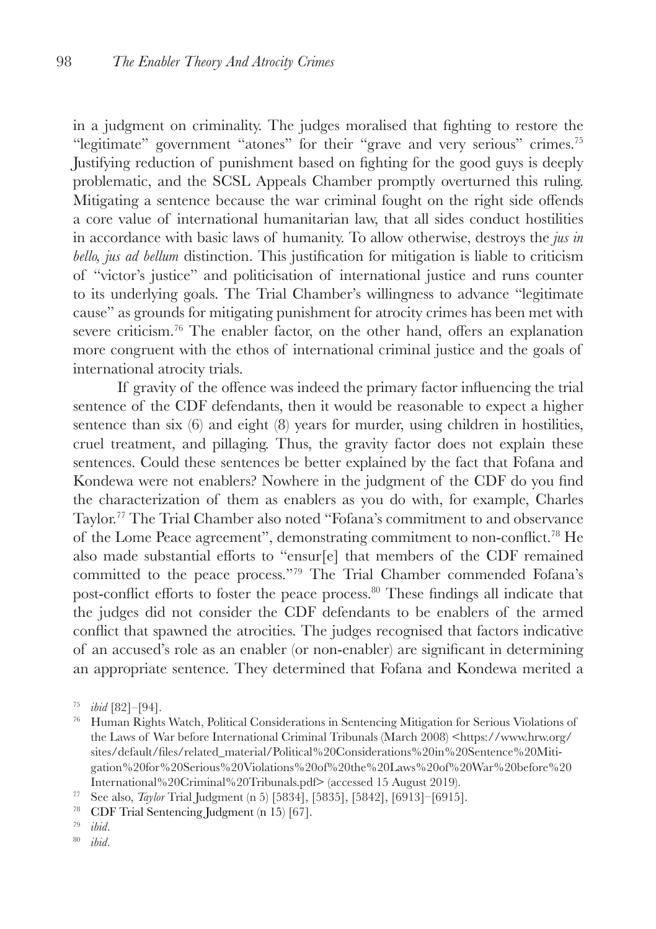in a judgment on criminality. The judges moralised that fighting to restore the "legitimate" government "atones" for their "grave and very serious" crimes.<sup>75</sup> Justifying reduction of punishment based on fighting for the good guys is deeply problematic, and the SCSL Appeals Chamber promptly overturned this ruling. Mitigating a sentence because the war criminal fought on the right side offends a core value of international humanitarian law, that all sides conduct hostilities in accordance with basic laws of humanity. To allow otherwise, destroys the *jus in bello, jus ad bellum* distinction. This justification for mitigation is liable to criticism of "victor's justice" and politicisation of international justice and runs counter to its underlying goals. The Trial Chamber's willingness to advance "legitimate cause" as grounds for mitigating punishment for atrocity crimes has been met with severe criticism.<sup>76</sup> The enabler factor, on the other hand, offers an explanation more congruent with the ethos of international criminal justice and the goals of international atrocity trials.

If gravity of the offence was indeed the primary factor influencing the trial sentence of the CDF defendants, then it would be reasonable to expect a higher sentence than six (6) and eight (8) years for murder, using children in hostilities, cruel treatment, and pillaging. Thus, the gravity factor does not explain these sentences. Could these sentences be better explained by the fact that Fofana and Kondewa were not enablers? Nowhere in the judgment of the CDF do you find the characterization of them as enablers as you do with, for example, Charles Taylor.77 The Trial Chamber also noted "Fofana's commitment to and observance of the Lome Peace agreement", demonstrating commitment to non-conflict.78 He also made substantial efforts to "ensur[e] that members of the CDF remained committed to the peace process."79 The Trial Chamber commended Fofana's post-conflict efforts to foster the peace process.<sup>80</sup> These findings all indicate that the judges did not consider the CDF defendants to be enablers of the armed conflict that spawned the atrocities. The judges recognised that factors indicative of an accused's role as an enabler (or non-enabler) are significant in determining an appropriate sentence. They determined that Fofana and Kondewa merited a

- <sup>79</sup> *ibid*.
- <sup>80</sup> *ibid*.

<sup>75</sup> *ibid* [82]–[94].

<sup>76</sup> Human Rights Watch, Political Considerations in Sentencing Mitigation for Serious Violations of the Laws of War before International Criminal Tribunals (March 2008) <https://www.hrw.org/ sites/default/files/related\_material/Political%20Considerations%20in%20Sentence%20Mitigation%20for%20Serious%20Violations%20of%20the%20Laws%20of%20War%20before%20 International%20Criminal%20Tribunals.pdf> (accessed 15 August 2019).

<sup>77</sup> See also, *Taylor* Trial Judgment (n 5) [5834], [5835], [5842], [6913]–[6915].

<sup>78</sup> CDF Trial Sentencing Judgment (n 15) [67].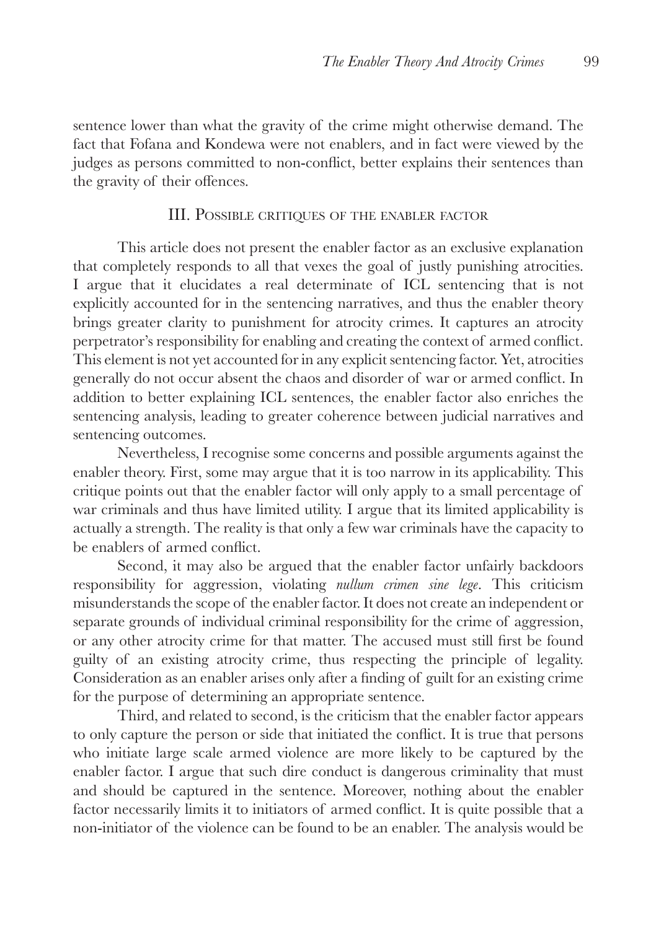sentence lower than what the gravity of the crime might otherwise demand. The fact that Fofana and Kondewa were not enablers, and in fact were viewed by the judges as persons committed to non-conflict, better explains their sentences than the gravity of their offences.

# III. Possible critiques of the enabler factor

This article does not present the enabler factor as an exclusive explanation that completely responds to all that vexes the goal of justly punishing atrocities. I argue that it elucidates a real determinate of ICL sentencing that is not explicitly accounted for in the sentencing narratives, and thus the enabler theory brings greater clarity to punishment for atrocity crimes. It captures an atrocity perpetrator's responsibility for enabling and creating the context of armed conflict. This element is not yet accounted for in any explicit sentencing factor. Yet, atrocities generally do not occur absent the chaos and disorder of war or armed conflict. In addition to better explaining ICL sentences, the enabler factor also enriches the sentencing analysis, leading to greater coherence between judicial narratives and sentencing outcomes.

Nevertheless, I recognise some concerns and possible arguments against the enabler theory. First, some may argue that it is too narrow in its applicability. This critique points out that the enabler factor will only apply to a small percentage of war criminals and thus have limited utility. I argue that its limited applicability is actually a strength. The reality is that only a few war criminals have the capacity to be enablers of armed conflict.

Second, it may also be argued that the enabler factor unfairly backdoors responsibility for aggression, violating *nullum crimen sine lege*. This criticism misunderstands the scope of the enabler factor. It does not create an independent or separate grounds of individual criminal responsibility for the crime of aggression, or any other atrocity crime for that matter. The accused must still first be found guilty of an existing atrocity crime, thus respecting the principle of legality. Consideration as an enabler arises only after a finding of guilt for an existing crime for the purpose of determining an appropriate sentence.

Third, and related to second, is the criticism that the enabler factor appears to only capture the person or side that initiated the conflict. It is true that persons who initiate large scale armed violence are more likely to be captured by the enabler factor. I argue that such dire conduct is dangerous criminality that must and should be captured in the sentence. Moreover, nothing about the enabler factor necessarily limits it to initiators of armed conflict. It is quite possible that a non-initiator of the violence can be found to be an enabler. The analysis would be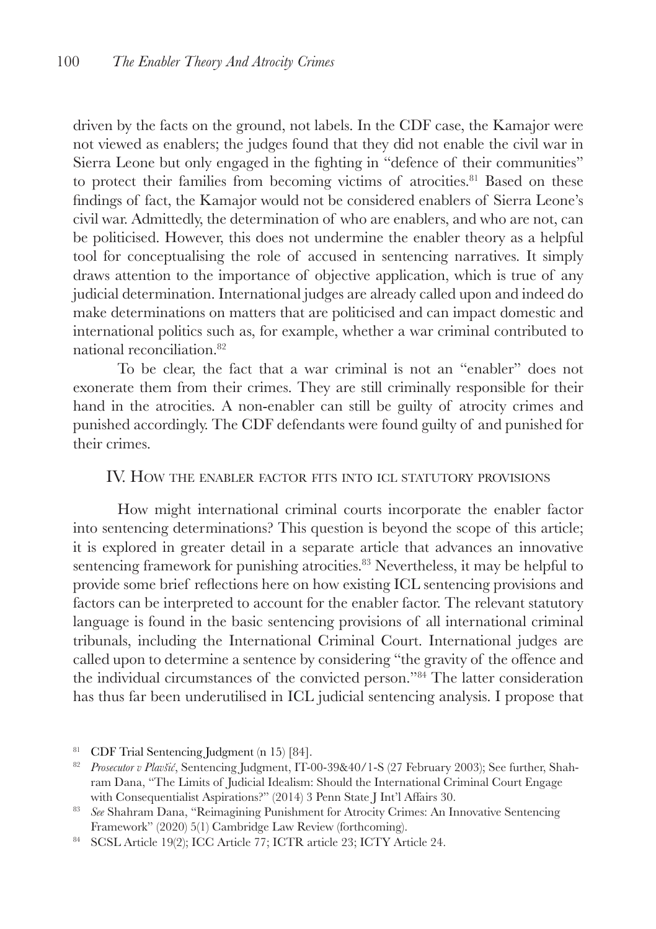driven by the facts on the ground, not labels. In the CDF case, the Kamajor were not viewed as enablers; the judges found that they did not enable the civil war in Sierra Leone but only engaged in the fighting in "defence of their communities" to protect their families from becoming victims of atrocities.<sup>81</sup> Based on these findings of fact, the Kamajor would not be considered enablers of Sierra Leone's civil war. Admittedly, the determination of who are enablers, and who are not, can be politicised. However, this does not undermine the enabler theory as a helpful tool for conceptualising the role of accused in sentencing narratives. It simply draws attention to the importance of objective application, which is true of any judicial determination. International judges are already called upon and indeed do make determinations on matters that are politicised and can impact domestic and international politics such as, for example, whether a war criminal contributed to national reconciliation.82

To be clear, the fact that a war criminal is not an "enabler" does not exonerate them from their crimes. They are still criminally responsible for their hand in the atrocities. A non-enabler can still be guilty of atrocity crimes and punished accordingly. The CDF defendants were found guilty of and punished for their crimes.

## IV. How the enabler factor fits into icl statutory provisions

How might international criminal courts incorporate the enabler factor into sentencing determinations? This question is beyond the scope of this article; it is explored in greater detail in a separate article that advances an innovative sentencing framework for punishing atrocities.<sup>83</sup> Nevertheless, it may be helpful to provide some brief reflections here on how existing ICL sentencing provisions and factors can be interpreted to account for the enabler factor. The relevant statutory language is found in the basic sentencing provisions of all international criminal tribunals, including the International Criminal Court. International judges are called upon to determine a sentence by considering "the gravity of the offence and the individual circumstances of the convicted person."84 The latter consideration has thus far been underutilised in ICL judicial sentencing analysis. I propose that

<sup>81</sup> CDF Trial Sentencing Judgment (n 15) [84].

<sup>82</sup> *Prosecutor v Plavšić*, Sentencing Judgment, IT-00-39&40/1-S (27 February 2003); See further, Shahram Dana, "The Limits of Judicial Idealism: Should the International Criminal Court Engage with Consequentialist Aspirations?" (2014) 3 Penn State J Int'l Affairs 30.

<sup>&</sup>lt;sup>83</sup> *See* Shahram Dana, "Reimagining Punishment for Atrocity Crimes: An Innovative Sentencing Framework" (2020) 5(1) Cambridge Law Review (forthcoming).

<sup>84</sup> SCSL Article 19(2); ICC Article 77; ICTR article 23; ICTY Article 24.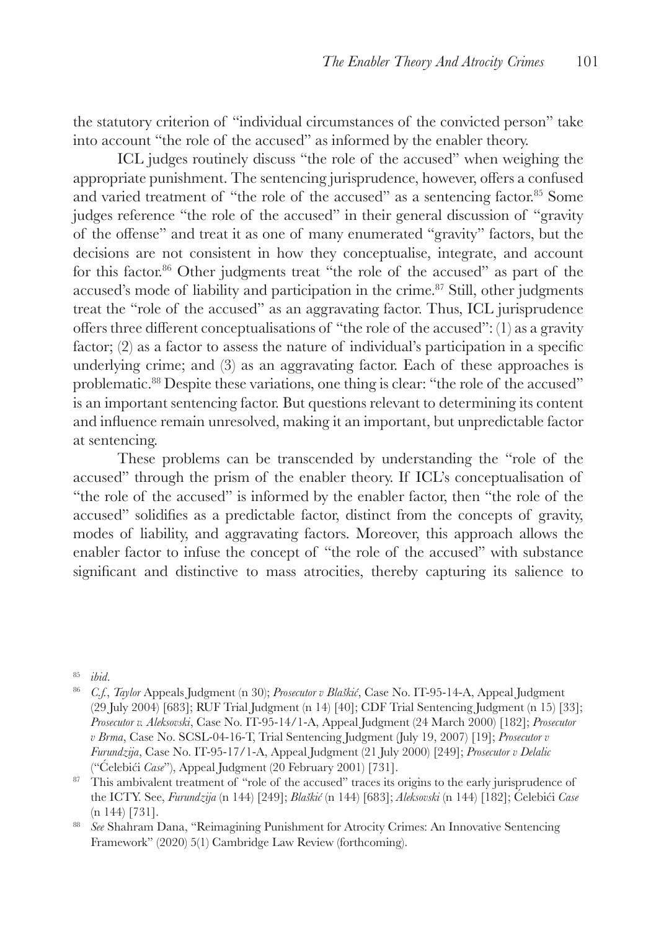the statutory criterion of "individual circumstances of the convicted person" take into account "the role of the accused" as informed by the enabler theory.

ICL judges routinely discuss "the role of the accused" when weighing the appropriate punishment. The sentencing jurisprudence, however, offers a confused and varied treatment of "the role of the accused" as a sentencing factor.85 Some judges reference "the role of the accused" in their general discussion of "gravity of the offense" and treat it as one of many enumerated "gravity" factors, but the decisions are not consistent in how they conceptualise, integrate, and account for this factor.<sup>86</sup> Other judgments treat "the role of the accused" as part of the accused's mode of liability and participation in the crime.<sup>87</sup> Still, other judgments treat the "role of the accused" as an aggravating factor. Thus, ICL jurisprudence offers three different conceptualisations of "the role of the accused": (1) as a gravity factor; (2) as a factor to assess the nature of individual's participation in a specific underlying crime; and (3) as an aggravating factor. Each of these approaches is problematic.88 Despite these variations, one thing is clear: "the role of the accused" is an important sentencing factor. But questions relevant to determining its content and influence remain unresolved, making it an important, but unpredictable factor at sentencing.

These problems can be transcended by understanding the "role of the accused" through the prism of the enabler theory. If ICL's conceptualisation of "the role of the accused" is informed by the enabler factor, then "the role of the accused" solidifies as a predictable factor, distinct from the concepts of gravity, modes of liability, and aggravating factors. Moreover, this approach allows the enabler factor to infuse the concept of "the role of the accused" with substance significant and distinctive to mass atrocities, thereby capturing its salience to

<sup>85</sup> *ibid*.

<sup>86</sup> *C.f.*, *Taylor* Appeals Judgment (n 30); *Prosecutor v Blaškić*, Case No. IT-95-14-A, Appeal Judgment (29 July 2004) [683]; RUF Trial Judgment (n 14) [40]; CDF Trial Sentencing Judgment (n 15) [33]; *Prosecutor v. Aleksovski*, Case No. IT-95-14/1-A, Appeal Judgment (24 March 2000) [182]; *Prosecutor v Brma*, Case No. SCSL-04-16-T, Trial Sentencing Judgment (July 19, 2007) [19]; *Prosecutor v Furundzija*, Case No. IT-95-17/1-A, Appeal Judgment (21 July 2000) [249]; *Prosecutor v Delalic*  ("Ćelebići *Case*"), Appeal Judgment (20 February 2001) [731].

<sup>&</sup>lt;sup>87</sup> This ambivalent treatment of "role of the accused" traces its origins to the early jurisprudence of the ICTY. See, *Furundzija* (n 144) [249]; *Blaškić* (n 144) [683]; *Aleksovski* (n 144) [182]; Ćelebići *Case* (n 144) [731].

<sup>88</sup> *See* Shahram Dana, "Reimagining Punishment for Atrocity Crimes: An Innovative Sentencing Framework" (2020) 5(1) Cambridge Law Review (forthcoming).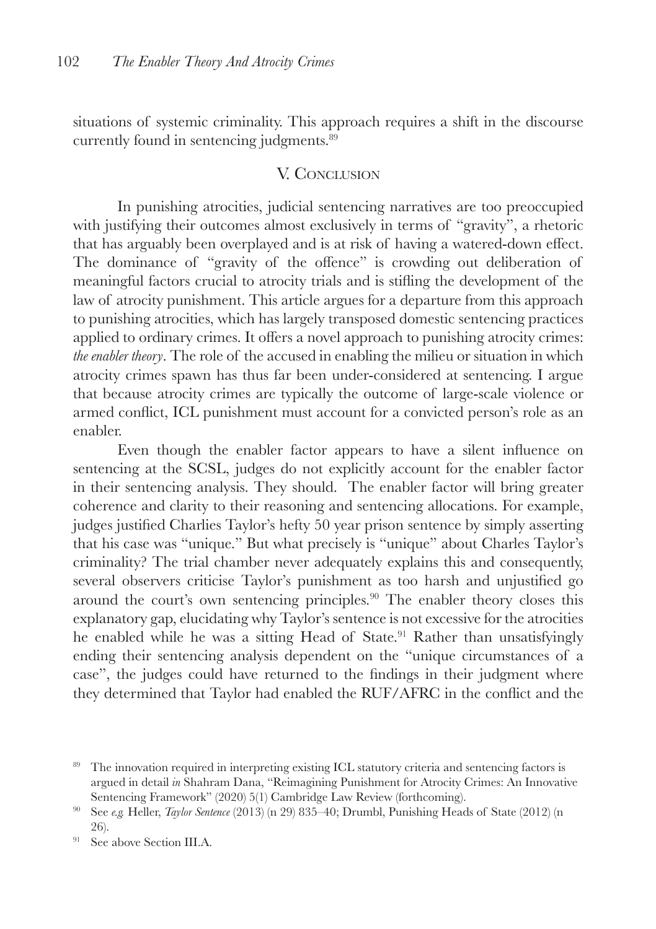situations of systemic criminality. This approach requires a shift in the discourse currently found in sentencing judgments.89

#### V. CONCLUSION

In punishing atrocities, judicial sentencing narratives are too preoccupied with justifying their outcomes almost exclusively in terms of "gravity", a rhetoric that has arguably been overplayed and is at risk of having a watered-down effect. The dominance of "gravity of the offence" is crowding out deliberation of meaningful factors crucial to atrocity trials and is stifling the development of the law of atrocity punishment. This article argues for a departure from this approach to punishing atrocities, which has largely transposed domestic sentencing practices applied to ordinary crimes. It offers a novel approach to punishing atrocity crimes: *the enabler theory*. The role of the accused in enabling the milieu or situation in which atrocity crimes spawn has thus far been under-considered at sentencing. I argue that because atrocity crimes are typically the outcome of large-scale violence or armed conflict, ICL punishment must account for a convicted person's role as an enabler.

Even though the enabler factor appears to have a silent influence on sentencing at the SCSL, judges do not explicitly account for the enabler factor in their sentencing analysis. They should. The enabler factor will bring greater coherence and clarity to their reasoning and sentencing allocations. For example, judges justified Charlies Taylor's hefty 50 year prison sentence by simply asserting that his case was "unique." But what precisely is "unique" about Charles Taylor's criminality? The trial chamber never adequately explains this and consequently, several observers criticise Taylor's punishment as too harsh and unjustified go around the court's own sentencing principles.<sup>90</sup> The enabler theory closes this explanatory gap, elucidating why Taylor's sentence is not excessive for the atrocities he enabled while he was a sitting Head of State.<sup>91</sup> Rather than unsatisfyingly ending their sentencing analysis dependent on the "unique circumstances of a case", the judges could have returned to the findings in their judgment where they determined that Taylor had enabled the RUF/AFRC in the conflict and the

<sup>&</sup>lt;sup>89</sup> The innovation required in interpreting existing ICL statutory criteria and sentencing factors is argued in detail *in* Shahram Dana, "Reimagining Punishment for Atrocity Crimes: An Innovative Sentencing Framework" (2020) 5(1) Cambridge Law Review (forthcoming).

<sup>90</sup> See *e.g.* Heller, *Taylor Sentence* (2013) (n 29) 835–40; Drumbl, Punishing Heads of State (2012) (n 26).

<sup>&</sup>lt;sup>91</sup> See above Section III.A.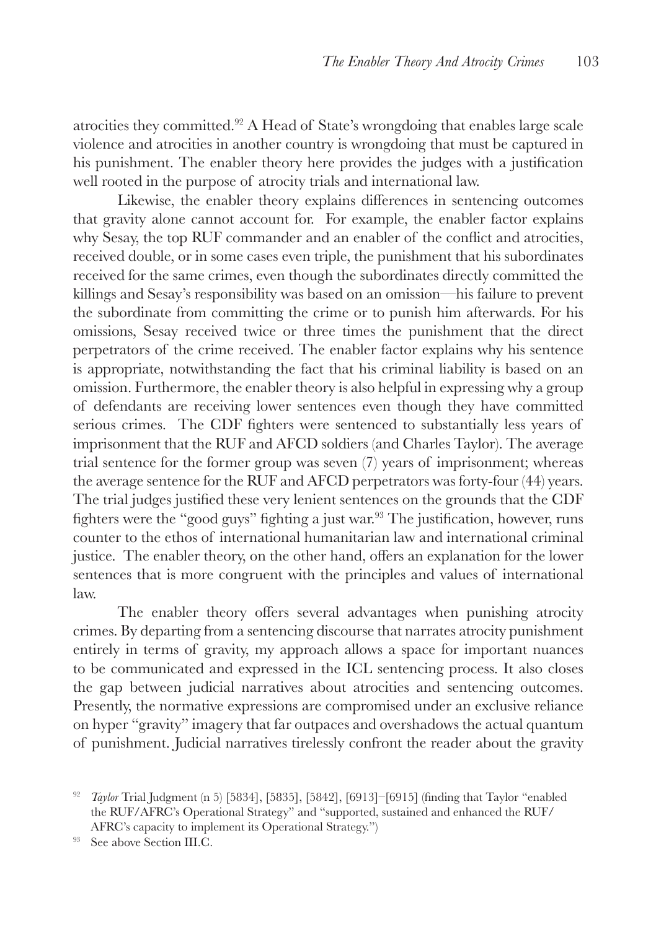atrocities they committed.92 A Head of State's wrongdoing that enables large scale violence and atrocities in another country is wrongdoing that must be captured in his punishment. The enabler theory here provides the judges with a justification well rooted in the purpose of atrocity trials and international law.

Likewise, the enabler theory explains differences in sentencing outcomes that gravity alone cannot account for. For example, the enabler factor explains why Sesay, the top RUF commander and an enabler of the conflict and atrocities, received double, or in some cases even triple, the punishment that his subordinates received for the same crimes, even though the subordinates directly committed the killings and Sesay's responsibility was based on an omission—his failure to prevent the subordinate from committing the crime or to punish him afterwards. For his omissions, Sesay received twice or three times the punishment that the direct perpetrators of the crime received. The enabler factor explains why his sentence is appropriate, notwithstanding the fact that his criminal liability is based on an omission. Furthermore, the enabler theory is also helpful in expressing why a group of defendants are receiving lower sentences even though they have committed serious crimes. The CDF fighters were sentenced to substantially less years of imprisonment that the RUF and AFCD soldiers (and Charles Taylor). The average trial sentence for the former group was seven (7) years of imprisonment; whereas the average sentence for the RUF and AFCD perpetrators was forty-four (44) years. The trial judges justified these very lenient sentences on the grounds that the CDF fighters were the "good guys" fighting a just war.<sup>93</sup> The justification, however, runs counter to the ethos of international humanitarian law and international criminal justice. The enabler theory, on the other hand, offers an explanation for the lower sentences that is more congruent with the principles and values of international law.

The enabler theory offers several advantages when punishing atrocity crimes. By departing from a sentencing discourse that narrates atrocity punishment entirely in terms of gravity, my approach allows a space for important nuances to be communicated and expressed in the ICL sentencing process. It also closes the gap between judicial narratives about atrocities and sentencing outcomes. Presently, the normative expressions are compromised under an exclusive reliance on hyper "gravity" imagery that far outpaces and overshadows the actual quantum of punishment. Judicial narratives tirelessly confront the reader about the gravity

<sup>92</sup> *Taylor* Trial Judgment (n 5) [5834], [5835], [5842], [6913]–[6915] (finding that Taylor "enabled the RUF/AFRC's Operational Strategy" and "supported, sustained and enhanced the RUF/ AFRC's capacity to implement its Operational Strategy.")

<sup>93</sup> See above Section III.C.